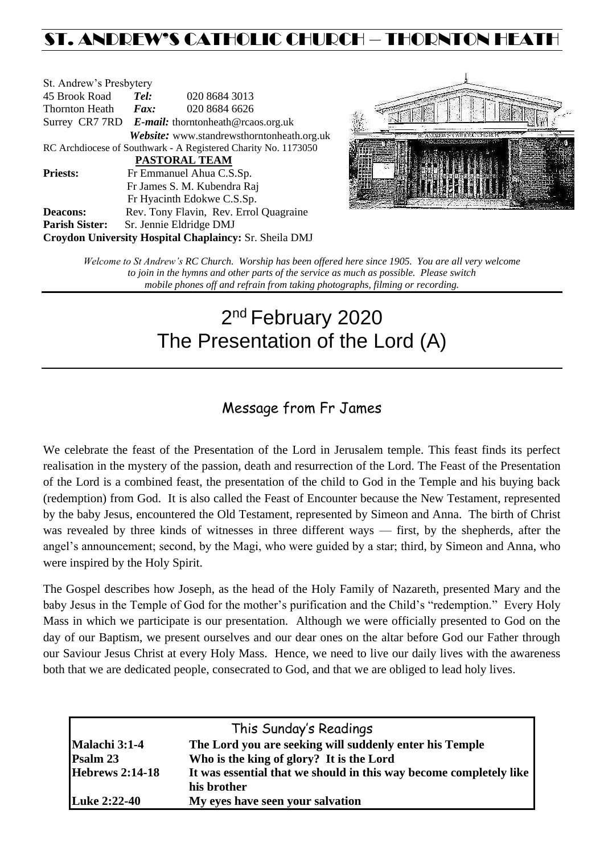# ST. ANDREW'S CATHOLIC CHURCH – THORNTON HEAT

| St. Andrew's Presbytery                                        |                                                   |                                                        |  |  |
|----------------------------------------------------------------|---------------------------------------------------|--------------------------------------------------------|--|--|
| 45 Brook Road                                                  | Tel:                                              | 020 8684 3013                                          |  |  |
| Thornton Heath                                                 | $\boldsymbol{Fax:}$                               | 020 8684 6626                                          |  |  |
|                                                                | Surrey CR7 7RD E-mail: thorntonheath@rcaos.org.uk |                                                        |  |  |
|                                                                |                                                   | Website: www.standrewsthorntonheath.org.uk             |  |  |
| RC Archdiocese of Southwark - A Registered Charity No. 1173050 |                                                   |                                                        |  |  |
| PASTORAL TEAM                                                  |                                                   |                                                        |  |  |
| <b>Priests:</b>                                                |                                                   | Fr Emmanuel Ahua C.S.Sp.                               |  |  |
|                                                                |                                                   | Fr James S. M. Kubendra Raj                            |  |  |
|                                                                |                                                   | Fr Hyacinth Edokwe C.S.Sp.                             |  |  |
| <b>Deacons:</b>                                                |                                                   | Rev. Tony Flavin, Rev. Errol Quagraine                 |  |  |
| <b>Parish Sister:</b>                                          |                                                   | Sr. Jennie Eldridge DMJ                                |  |  |
|                                                                |                                                   | Croydon University Hospital Chaplaincy: Sr. Sheila DMJ |  |  |



*Welcome to St Andrew's RC Church. Worship has been offered here since 1905. You are all very welcome to join in the hymns and other parts of the service as much as possible. Please switch mobile phones off and refrain from taking photographs, filming or recording.*

# 2<sup>nd</sup> February 2020 The Presentation of the Lord (A)

### Message from Fr James

We celebrate the feast of the Presentation of the Lord in Jerusalem temple. This feast finds its perfect realisation in the mystery of the passion, death and resurrection of the Lord. The Feast of the Presentation of the Lord is a combined feast, the presentation of the child to God in the Temple and his buying back (redemption) from God. It is also called the Feast of Encounter because the New Testament, represented by the baby Jesus, encountered the Old Testament, represented by Simeon and Anna. The birth of Christ was revealed by three kinds of witnesses in three different ways — first, by the shepherds, after the angel's announcement; second, by the Magi, who were guided by a star; third, by Simeon and Anna, who were inspired by the Holy Spirit.

The Gospel describes how Joseph, as the head of the Holy Family of Nazareth, presented Mary and the baby Jesus in the Temple of God for the mother's purification and the Child's "redemption." Every Holy Mass in which we participate is our presentation. Although we were officially presented to God on the day of our Baptism, we present ourselves and our dear ones on the altar before God our Father through our Saviour Jesus Christ at every Holy Mass. Hence, we need to live our daily lives with the awareness both that we are dedicated people, consecrated to God, and that we are obliged to lead holy lives.

|                        | This Sunday's Readings                                             |
|------------------------|--------------------------------------------------------------------|
| Malachi 3:1-4          | The Lord you are seeking will suddenly enter his Temple            |
| Psalm 23               | Who is the king of glory? It is the Lord                           |
| <b>Hebrews 2:14-18</b> | It was essential that we should in this way become completely like |
|                        | his brother                                                        |
| <b>Luke 2:22-40</b>    | My eyes have seen your salvation                                   |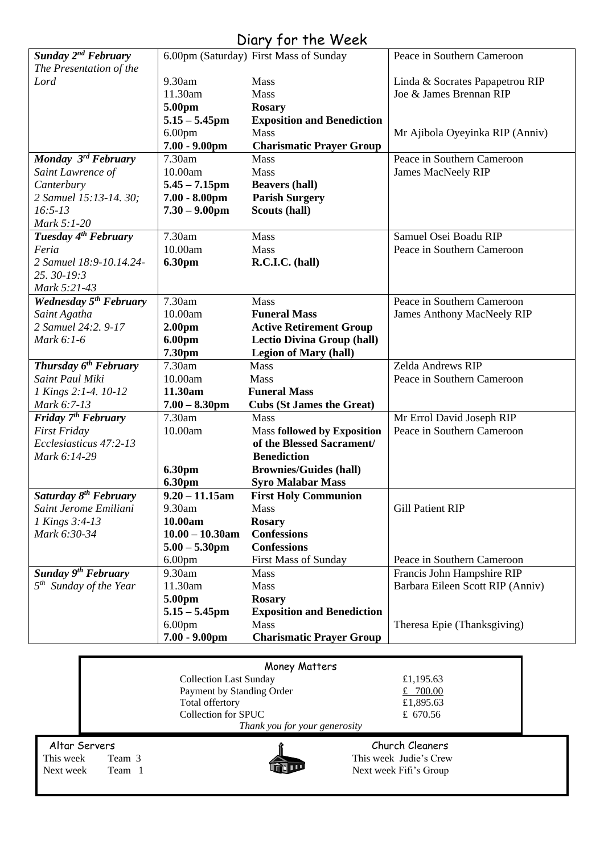## Diary for the Week

|                                   |                    | 6.00pm (Saturday) First Mass of Sunday |                                   |
|-----------------------------------|--------------------|----------------------------------------|-----------------------------------|
| Sunday 2 <sup>nd</sup> February   |                    |                                        | Peace in Southern Cameroon        |
| The Presentation of the           |                    |                                        |                                   |
| Lord                              | 9.30am             | Mass                                   | Linda & Socrates Papapetrou RIP   |
|                                   | 11.30am            | Mass                                   | Joe & James Brennan RIP           |
|                                   | 5.00pm             | <b>Rosary</b>                          |                                   |
|                                   | $5.15 - 5.45$ pm   | <b>Exposition and Benediction</b>      |                                   |
|                                   | 6.00 <sub>pm</sub> | <b>Mass</b>                            | Mr Ajibola Oyeyinka RIP (Anniv)   |
|                                   | $7.00 - 9.00$ pm   | <b>Charismatic Prayer Group</b>        |                                   |
| Monday 3rd February               | 7.30am             | <b>Mass</b>                            | Peace in Southern Cameroon        |
| Saint Lawrence of                 | 10.00am            | Mass                                   | <b>James MacNeely RIP</b>         |
| Canterbury                        | $5.45 - 7.15$ pm   | <b>Beavers (hall)</b>                  |                                   |
| 2 Samuel 15:13-14. 30;            | $7.00 - 8.00$ pm   | <b>Parish Surgery</b>                  |                                   |
| $16:5-13$                         | $7.30 - 9.00$ pm   | Scouts (hall)                          |                                   |
| Mark 5:1-20                       |                    |                                        |                                   |
| Tuesday 4 <sup>th</sup> February  | 7.30am             | Mass                                   | Samuel Osei Boadu RIP             |
| Feria                             | 10.00am            | Mass                                   | Peace in Southern Cameroon        |
| 2 Samuel 18:9-10.14.24-           | 6.30pm             | R.C.I.C. (hall)                        |                                   |
| 25.30-19:3                        |                    |                                        |                                   |
| Mark 5:21-43                      |                    |                                        |                                   |
| <b>Wednesday 5th February</b>     | 7.30am             | Mass                                   | Peace in Southern Cameroon        |
| Saint Agatha                      | 10.00am            | <b>Funeral Mass</b>                    | <b>James Anthony MacNeely RIP</b> |
| 2 Samuel 24:2, 9-17               | 2.00 <sub>pm</sub> | <b>Active Retirement Group</b>         |                                   |
| Mark 6:1-6                        | 6.00pm             | <b>Lectio Divina Group (hall)</b>      |                                   |
|                                   | 7.30pm             | <b>Legion of Mary (hall)</b>           |                                   |
| Thursday $6^{th}$ February        | 7.30am             | <b>Mass</b>                            | Zelda Andrews RIP                 |
| Saint Paul Miki                   | 10.00am            | Mass                                   | Peace in Southern Cameroon        |
| 1 Kings 2:1-4. 10-12              | 11.30am            | <b>Funeral Mass</b>                    |                                   |
| Mark 6:7-13                       | $7.00 - 8.30$ pm   | <b>Cubs (St James the Great)</b>       |                                   |
| Friday 7 <sup>th</sup> February   | 7.30am             | <b>Mass</b>                            | Mr Errol David Joseph RIP         |
| <b>First Friday</b>               | 10.00am            | <b>Mass followed by Exposition</b>     | Peace in Southern Cameroon        |
| Ecclesiasticus 47:2-13            |                    | of the Blessed Sacrament/              |                                   |
| Mark 6:14-29                      |                    | <b>Benediction</b>                     |                                   |
|                                   | 6.30pm             | <b>Brownies/Guides (hall)</b>          |                                   |
|                                   | 6.30pm             | <b>Syro Malabar Mass</b>               |                                   |
| Saturday 8 <sup>th</sup> February | $9.20 - 11.15$ am  | <b>First Holy Communion</b>            |                                   |
| Saint Jerome Emiliani             | 9.30am             | Mass                                   | <b>Gill Patient RIP</b>           |
| 1 Kings 3:4-13                    | 10.00am            | <b>Rosary</b>                          |                                   |
| Mark 6:30-34                      | $10.00 - 10.30$ am | <b>Confessions</b>                     |                                   |
|                                   |                    | <b>Confessions</b>                     |                                   |
|                                   | $5.00 - 5.30$ pm   |                                        |                                   |
|                                   | 6.00 <sub>pm</sub> | First Mass of Sunday                   | Peace in Southern Cameroon        |
| <b>Sunday 9th February</b>        | 9.30am             | <b>Mass</b>                            | Francis John Hampshire RIP        |
| $5th$ Sunday of the Year          | 11.30am            | Mass                                   | Barbara Eileen Scott RIP (Anniv)  |
|                                   | 5.00pm             | <b>Rosary</b>                          |                                   |
|                                   | $5.15 - 5.45$ pm   | <b>Exposition and Benediction</b>      |                                   |
|                                   | 6.00 <sub>pm</sub> | <b>Mass</b>                            | Theresa Epie (Thanksgiving)       |
|                                   | $7.00 - 9.00$ pm   | <b>Charismatic Prayer Group</b>        |                                   |

| Money Matters       |                               |                        |  |  |
|---------------------|-------------------------------|------------------------|--|--|
|                     | <b>Collection Last Sunday</b> | £1,195.63              |  |  |
|                     | Payment by Standing Order     | £ $700.00$             |  |  |
|                     | Total offertory               | £1,895.63              |  |  |
|                     | Collection for SPUC           | £ 670.56               |  |  |
|                     | Thank you for your generosity |                        |  |  |
| Altar Servers       |                               | Church Cleaners        |  |  |
| This week<br>Team 3 |                               | This week Judie's Crew |  |  |
| Next week<br>Team 1 |                               | Next week Fifi's Group |  |  |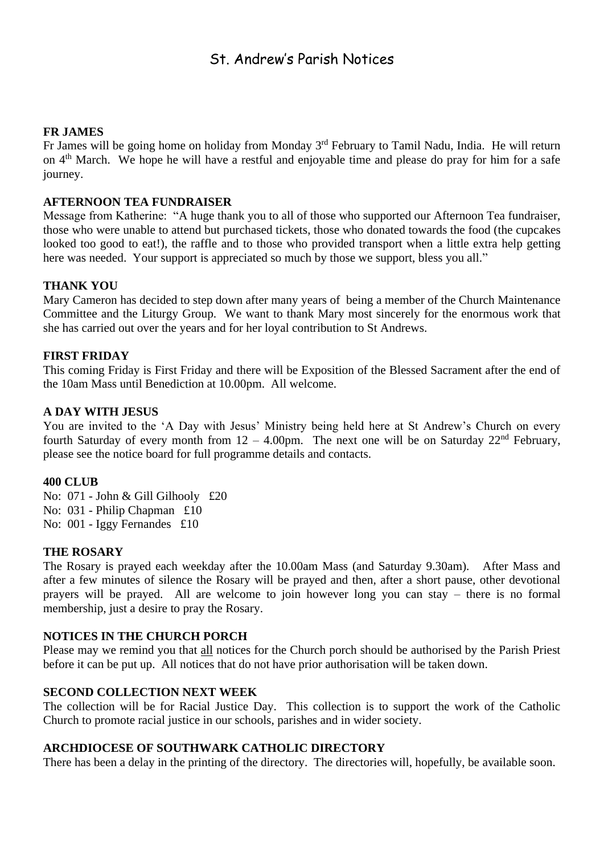### St. Andrew's Parish Notices

#### **FR JAMES**

Fr James will be going home on holiday from Monday 3<sup>rd</sup> February to Tamil Nadu, India. He will return on 4<sup>th</sup> March. We hope he will have a restful and enjoyable time and please do pray for him for a safe journey.

#### **AFTERNOON TEA FUNDRAISER**

Message from Katherine: "A huge thank you to all of those who supported our Afternoon Tea fundraiser, those who were unable to attend but purchased tickets, those who donated towards the food (the cupcakes looked too good to eat!), the raffle and to those who provided transport when a little extra help getting here was needed. Your support is appreciated so much by those we support, bless you all."

#### **THANK YOU**

Mary Cameron has decided to step down after many years of being a member of the Church Maintenance Committee and the Liturgy Group. We want to thank Mary most sincerely for the enormous work that she has carried out over the years and for her loyal contribution to St Andrews.

#### **FIRST FRIDAY**

This coming Friday is First Friday and there will be Exposition of the Blessed Sacrament after the end of the 10am Mass until Benediction at 10.00pm. All welcome.

#### **A DAY WITH JESUS**

You are invited to the 'A Day with Jesus' Ministry being held here at St Andrew's Church on every fourth Saturday of every month from  $12 - 4.00$ pm. The next one will be on Saturday  $22<sup>nd</sup>$  February, please see the notice board for full programme details and contacts.

#### **400 CLUB**

No: 071 - John & Gill Gilhooly £20 No: 031 - Philip Chapman £10 No: 001 - Iggy Fernandes £10

#### **THE ROSARY**

The Rosary is prayed each weekday after the 10.00am Mass (and Saturday 9.30am). After Mass and after a few minutes of silence the Rosary will be prayed and then, after a short pause, other devotional prayers will be prayed. All are welcome to join however long you can stay – there is no formal membership, just a desire to pray the Rosary.

#### **NOTICES IN THE CHURCH PORCH**

Please may we remind you that all notices for the Church porch should be authorised by the Parish Priest before it can be put up. All notices that do not have prior authorisation will be taken down.

#### **SECOND COLLECTION NEXT WEEK**

The collection will be for Racial Justice Day. This collection is to support the work of the Catholic Church to promote racial justice in our schools, parishes and in wider society.

#### **ARCHDIOCESE OF SOUTHWARK CATHOLIC DIRECTORY**

There has been a delay in the printing of the directory. The directories will, hopefully, be available soon.